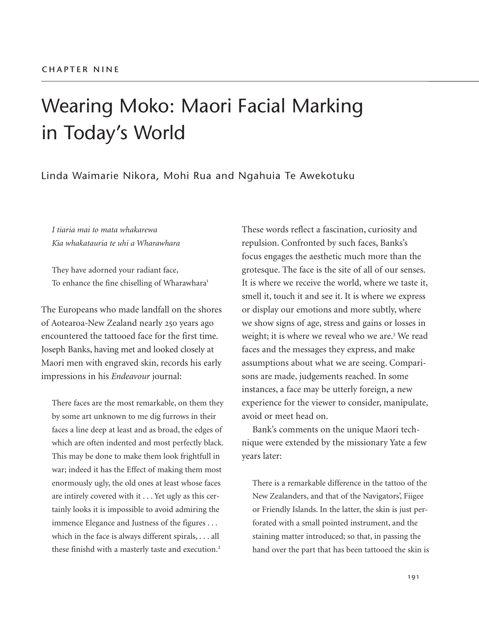# Wearing Moko: Maori Facial Marking in Today's World

Linda Waimarie Nikora, Mohi Rua and Ngahuia Te Awekotuku

*I tiaria mai to mata whakarewa Kia whakatauria te uhi a Wharawhara*

They have adorned your radiant face, To enhance the fine chiselling of Wharawhara<sup>1</sup>

The Europeans who made landfall on the shores of Aotearoa-New Zealand nearly 250 years ago encountered the tattooed face for the first time. Joseph Banks, having met and looked closely at Maori men with engraved skin, records his early impressions in his *Endeavour* journal:

There faces are the most remarkable, on them they by some art unknown to me dig furrows in their faces a line deep at least and as broad, the edges of which are often indented and most perfectly black. This may be done to make them look frightfull in war; indeed it has the Effect of making them most enormously ugly, the old ones at least whose faces are intirely covered with it . . . Yet ugly as this certainly looks it is impossible to avoid admiring the immence Elegance and Justness of the figures . . . which in the face is always different spirals, . . . all these finishd with a masterly taste and execution. 2

These words reflect a fascination, curiosity and repulsion. Confronted by such faces, Banks's focus engages the aesthetic much more than the grotesque. The face is the site of all of our senses. It is where we receive the world, where we taste it, smell it, touch it and see it. It is where we express or display our emotions and more subtly, where we show signs of age, stress and gains or losses in weight; it is where we reveal who we are. <sup>3</sup> We read faces and the messages they express, and make assumptions about what we are seeing. Comparisons are made, judgements reached. In some instances, a face may be utterly foreign, a new experience for the viewer to consider, manipulate, avoid or meet head on.

Bank's comments on the unique Maori technique were extended by the missionary Yate a few years later:

There is a remarkable difference in the tattoo of the New Zealanders, and that of the Navigators', Fiigee or Friendly Islands. In the latter, the skin is just perforated with a small pointed instrument, and the staining matter introduced; so that, in passing the hand over the part that has been tattooed the skin is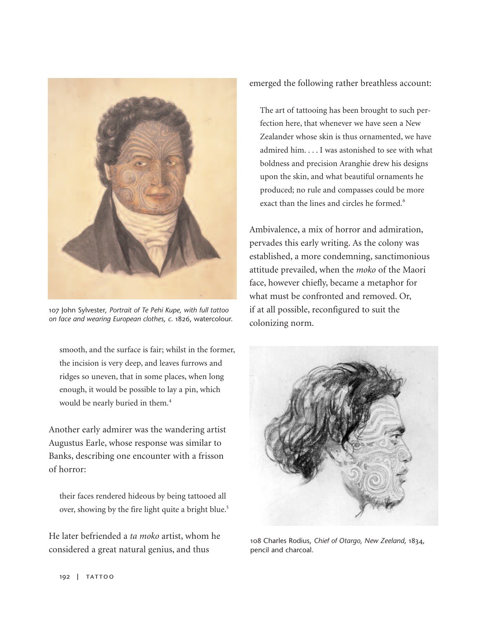

107 John Sylvester, *Portrait of Te Pehi Kupe, with full tattoo on face and wearing European clothes*, *c*. 1826, watercolour.

smooth, and the surface is fair; whilst in the former, the incision is very deep, and leaves furrows and ridges so uneven, that in some places, when long enough, it would be possible to lay a pin, which would be nearly buried in them. 4

Another early admirer was the wandering artist Augustus Earle, whose response was similar to Banks, describing one encounter with a frisson of horror:

their faces rendered hideous by being tattooed all over, showing by the fire light quite a bright blue. 5

He later befriended a *ta moko* artist, whom he considered a great natural genius, and thus

emerged the following rather breathless account:

The art of tattooing has been brought to such perfection here, that whenever we have seen a New Zealander whose skin is thus ornamented, we have admired him. . . . I was astonished to see with what boldness and precision Aranghie drew his designs upon the skin, and what beautiful ornaments he produced; no rule and compasses could be more exact than the lines and circles he formed. 6

Ambivalence, a mix of horror and admiration, pervades this early writing. As the colony was established, a more condemning, sanctimonious attitude prevailed, when the *moko* of the Maori face, however chiefly, became a metaphor for what must be confronted and removed. Or, if at all possible, reconfigured to suit the colonizing norm.



108 Charles Rodius, *Chief of Otargo, New Zeeland*, 1834, pencil and charcoal.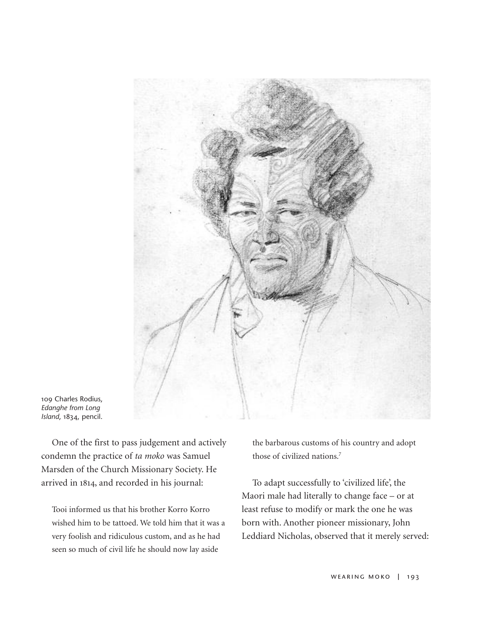

109 Charles Rodius, *Edanghe from Long Island*, 1834, pencil.

One of the first to pass judgement and actively condemn the practice of *ta moko* was Samuel Marsden of the Church Missionary Society. He arrived in 1814, and recorded in his journal:

Tooi informed us that his brother Korro Korro wished him to be tattoed. We told him that it was a very foolish and ridiculous custom, and as he had seen so much of civil life he should now lay aside

the barbarous customs of his country and adopt those of civilized nations. 7

To adapt successfully to 'civilized life', the Maori male had literally to change face – or at least refuse to modify or mark the one he was born with. Another pioneer missionary, John Leddiard Nicholas, observed that it merely served: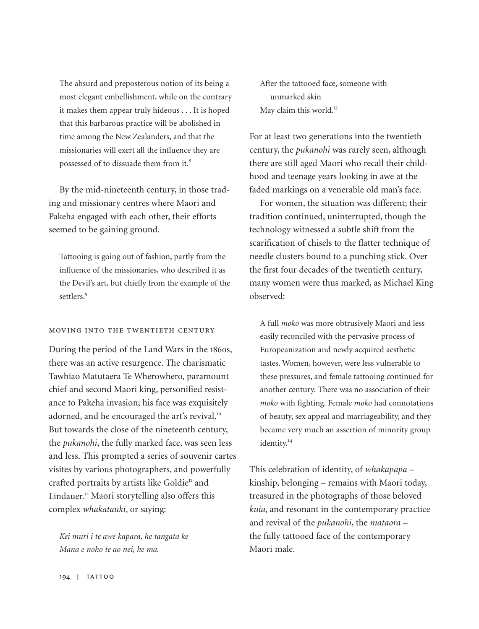The absurd and preposterous notion of its being a most elegant embellishment, while on the contrary it makes them appear truly hideous . . . It is hoped that this barbarous practice will be abolished in time among the New Zealanders, and that the missionaries will exert all the influence they are possessed of to dissuade them from it. 8

By the mid-nineteenth century, in those trading and missionary centres where Maori and Pakeha engaged with each other, their efforts seemed to be gaining ground.

Tattooing is going out of fashion, partly from the influence of the missionaries, who described it as the Devil's art, but chiefly from the example of the settlers. 9

## moving into the twentieth century

During the period of the Land Wars in the 1860s, there was an active resurgence. The charismatic Tawhiao Matutaera Te Wherowhero, paramount chief and second Maori king, personified resistance to Pakeha invasion; his face was exquisitely adorned, and he encouraged the art's revival.<sup>10</sup> But towards the close of the nineteenth century, the *pukanohi*, the fully marked face, was seen less and less. This prompted a series of souvenir cartes visites by various photographers, and powerfully crafted portraits by artists like Goldie<sup>11</sup> and Lindauer. <sup>12</sup> Maori storytelling also offers this complex *whakatauki*, or saying:

*Kei muri i te awe kapara, he tangata ke Mana e noho te ao nei, he ma.*

After the tattooed face, someone with unmarked skin May claim this world.<sup>13</sup>

For at least two generations into the twentieth century, the *pukanohi* was rarely seen, although there are still aged Maori who recall their childhood and teenage years looking in awe at the faded markings on a venerable old man's face.

For women, the situation was different; their tradition continued, uninterrupted, though the technology witnessed a subtle shift from the scarification of chisels to the flatter technique of needle clusters bound to a punching stick. Over the first four decades of the twentieth century, many women were thus marked, as Michael King observed:

A full *moko* was more obtrusively Maori and less easily reconciled with the pervasive process of Europeanization and newly acquired aesthetic tastes. Women, however, were less vulnerable to these pressures, and female tattooing continued for another century. There was no association of their *moko* with fighting. Female *moko* had connotations of beauty, sex appeal and marriageability, and they became very much an assertion of minority group identity. 14

This celebration of identity, of *whakapapa* – kinship, belonging – remains with Maori today, treasured in the photographs of those beloved *kuia*, and resonant in the contemporary practice and revival of the *pukanohi*, the *mataora* – the fully tattooed face of the contemporary Maori male.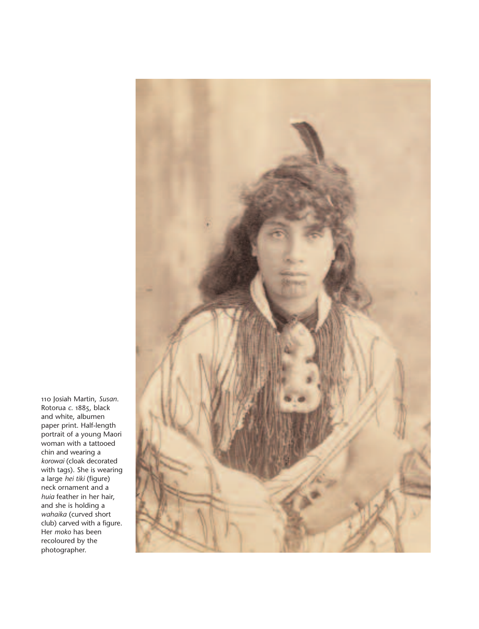

110 Josiah Martin, *Susan*. Rotorua *c*. 1885, black and white, albumen paper print. Half-length portrait of a young Maori woman with a tattooed chin and wearing a *korowai* (cloak decorated with tags). She is wearing a large *hei tiki* (figure) neck ornament and a *huia* feather in her hair, and she is holding a *wahaika* (curved short club) carved with a figure. Her *moko* has been recoloured by the photographer.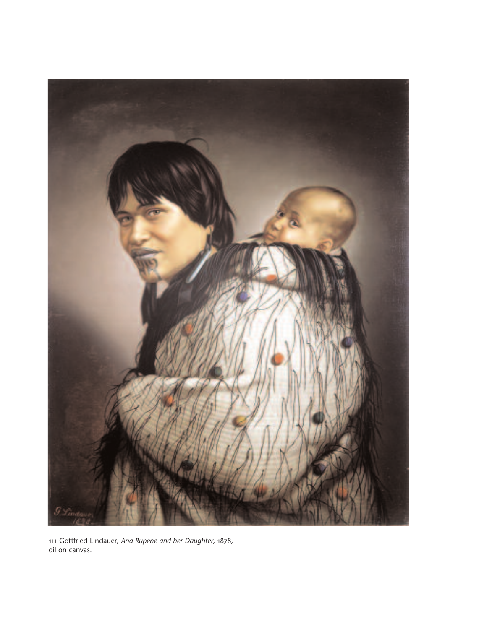

111 Gottfried Lindauer, Ana Rupene and her Daughter, 1878, oil on canvas.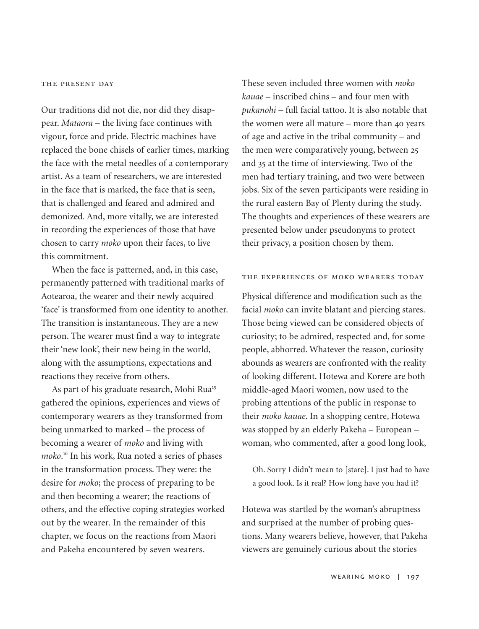### the present day

Our traditions did not die, nor did they disappear. *Mataora* – the living face continues with vigour, force and pride. Electric machines have replaced the bone chisels of earlier times, marking the face with the metal needles of a contemporary artist. As a team of researchers, we are interested in the face that is marked, the face that is seen, that is challenged and feared and admired and demonized. And, more vitally, we are interested in recording the experiences of those that have chosen to carry *moko* upon their faces, to live this commitment.

When the face is patterned, and, in this case, permanently patterned with traditional marks of Aotearoa, the wearer and their newly acquired 'face' is transformed from one identity to another. The transition is instantaneous. They are a new person. The wearer must find a way to integrate their 'new look', their new being in the world, along with the assumptions, expectations and reactions they receive from others.

As part of his graduate research, Mohi Rua<sup>15</sup> gathered the opinions, experiences and views of contemporary wearers as they transformed from being unmarked to marked – the process of becoming a wearer of *moko* and living with *moko*. <sup>16</sup> In his work, Rua noted a series of phases in the transformation process. They were: the desire for *moko*; the process of preparing to be and then becoming a wearer; the reactions of others, and the effective coping strategies worked out by the wearer. In the remainder of this chapter, we focus on the reactions from Maori and Pakeha encountered by seven wearers.

These seven included three women with *moko kauae* – inscribed chins – and four men with *pukanohi* – full facial tattoo. It is also notable that the women were all mature – more than 40 years of age and active in the tribal community – and the men were comparatively young, between 25 and 35 at the time of interviewing. Two of the men had tertiary training, and two were between jobs. Six of the seven participants were residing in the rural eastern Bay of Plenty during the study. The thoughts and experiences of these wearers are presented below under pseudonyms to protect their privacy, a position chosen by them.

#### the experiences of *moko* wearers today

Physical difference and modification such as the facial *moko* can invite blatant and piercing stares. Those being viewed can be considered objects of curiosity; to be admired, respected and, for some people, abhorred. Whatever the reason, curiosity abounds as wearers are confronted with the reality of looking different. Hotewa and Korere are both middle-aged Maori women, now used to the probing attentions of the public in response to their *moko kauae*. In a shopping centre, Hotewa was stopped by an elderly Pakeha – European – woman, who commented, after a good long look,

Oh. Sorry I didn't mean to [stare]. I just had to have a good look. Is it real? How long have you had it?

Hotewa was startled by the woman's abruptness and surprised at the number of probing questions. Many wearers believe, however, that Pakeha viewers are genuinely curious about the stories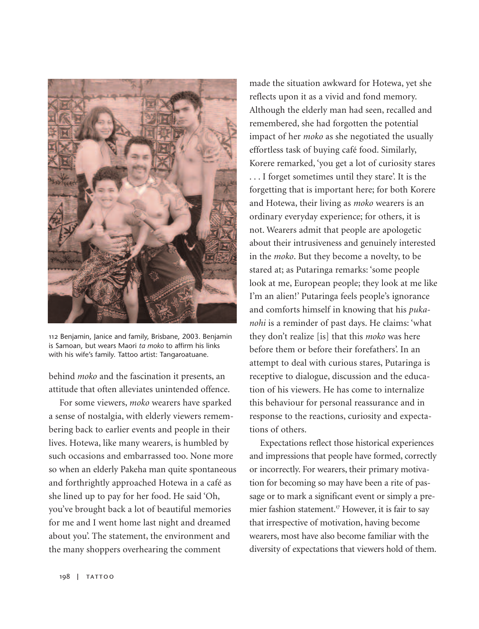

112 Benjamin, Janice and family, Brisbane, 2003. Benjamin is Samoan, but wears Maori *ta moko* to affirm his links with his wife's family. Tattoo artist: Tangaroatuane.

behind *moko* and the fascination it presents, an attitude that often alleviates unintended offence.

For some viewers, *moko* wearers have sparked a sense of nostalgia, with elderly viewers remembering back to earlier events and people in their lives. Hotewa, like many wearers, is humbled by such occasions and embarrassed too. None more so when an elderly Pakeha man quite spontaneous and forthrightly approached Hotewa in a café as she lined up to pay for her food. He said 'Oh, you've brought back a lot of beautiful memories for me and I went home last night and dreamed about you'. The statement, the environment and the many shoppers overhearing the comment

made the situation awkward for Hotewa, yet she reflects upon it as a vivid and fond memory. Although the elderly man had seen, recalled and remembered, she had forgotten the potential impact of her *moko* as she negotiated the usually effortless task of buying café food. Similarly, Korere remarked, 'you get a lot of curiosity stares . . . I forget sometimes until they stare'. It is the forgetting that is important here; for both Korere and Hotewa, their living as *moko* wearers is an ordinary everyday experience; for others, it is not. Wearers admit that people are apologetic about their intrusiveness and genuinely interested in the *moko*. But they become a novelty, to be stared at; as Putaringa remarks: 'some people look at me, European people; they look at me like I'm an alien!' Putaringa feels people's ignorance and comforts himself in knowing that his *pukanohi* is a reminder of past days. He claims: 'what they don't realize [is] that this *moko* was here before them or before their forefathers'. In an attempt to deal with curious stares, Putaringa is receptive to dialogue, discussion and the education of his viewers. He has come to internalize this behaviour for personal reassurance and in response to the reactions, curiosity and expectations of others.

Expectations reflect those historical experiences and impressions that people have formed, correctly or incorrectly. For wearers, their primary motivation for becoming so may have been a rite of passage or to mark a significant event or simply a premier fashion statement. <sup>17</sup> However, it is fair to say that irrespective of motivation, having become wearers, most have also become familiar with the diversity of expectations that viewers hold of them.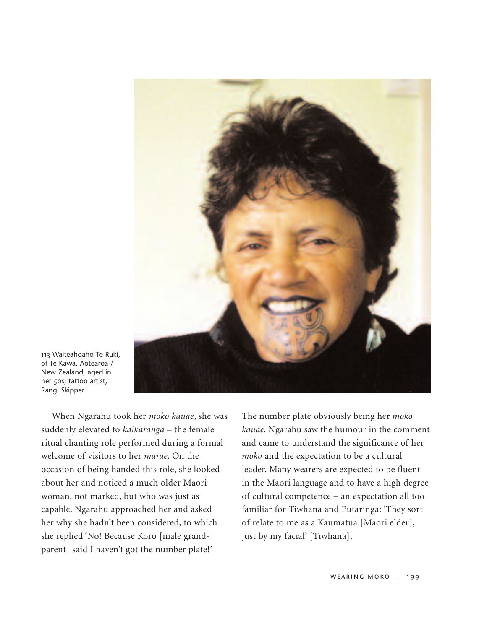

113 Waiteahoaho Te Ruki, of Te Kawa, Aotearoa / New Zealand, aged in her 50s; tattoo artist, Rangi Skipper.

When Ngarahu took her *moko kauae*, she was suddenly elevated to *kaikaranga* – the female ritual chanting role performed during a formal welcome of visitors to her *marae*. On the occasion of being handed this role, she looked about her and noticed a much older Maori woman, not marked, but who was just as capable. Ngarahu approached her and asked her why she hadn't been considered, to which she replied 'No! Because Koro [male grandparent] said I haven't got the number plate!'

The number plate obviously being her *moko kauae*. Ngarahu saw the humour in the comment and came to understand the significance of her *moko* and the expectation to be a cultural leader. Many wearers are expected to be fluent in the Maori language and to have a high degree of cultural competence – an expectation all too familiar for Tiwhana and Putaringa: 'They sort of relate to me as a Kaumatua [Maori elder], just by my facial' [Tiwhana],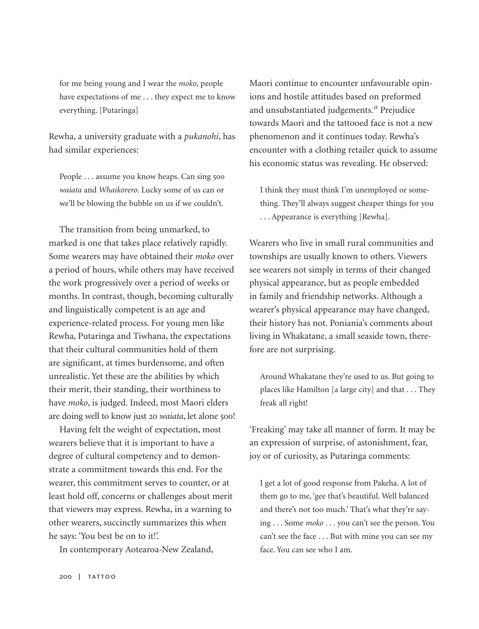for me being young and I wear the *moko*, people have expectations of me . . . they expect me to know everything. [Putaringa]

Rewha, a university graduate with a *pukanohi*, has had similar experiences:

People . . . assume you know heaps. Can sing 500 *waiata* and *Whaikorero*. Lucky some of us can or we'll be blowing the bubble on us if we couldn't.

The transition from being unmarked, to marked is one that takes place relatively rapidly. Some wearers may have obtained their *moko* over a period of hours, while others may have received the work progressively over a period of weeks or months. In contrast, though, becoming culturally and linguistically competent is an age and experience-related process. For young men like Rewha, Putaringa and Tiwhana, the expectations that their cultural communities hold of them are significant, at times burdensome, and often unrealistic. Yet these are the abilities by which their merit, their standing, their worthiness to have *moko*, is judged. Indeed, most Maori elders are doing well to know just 20 *waiata*, let alone 500!

Having felt the weight of expectation, most wearers believe that it is important to have a degree of cultural competency and to demonstrate a commitment towards this end. For the wearer, this commitment serves to counter, or at least hold off, concerns or challenges about merit that viewers may express. Rewha, in a warning to other wearers, succinctly summarizes this when he says: 'You best be on to it!'.

In contemporary Aotearoa-New Zealand,

Maori continue to encounter unfavourable opinions and hostile attitudes based on preformed and unsubstantiated judgements. <sup>18</sup> Prejudice towards Maori and the tattooed face is not a new phenomenon and it continues today. Rewha's encounter with a clothing retailer quick to assume his economic status was revealing. He observed:

I think they must think I'm unemployed or something. They'll always suggest cheaper things for you . . . Appearance is everything [Rewha].

Wearers who live in small rural communities and townships are usually known to others. Viewers see wearers not simply in terms of their changed physical appearance, but as people embedded in family and friendship networks. Although a wearer's physical appearance may have changed, their history has not. Poniania's comments about living in Whakatane, a small seaside town, therefore are not surprising.

Around Whakatane they're used to us. But going to places like Hamilton [a large city] and that . . . They freak all right!

'Freaking' may take all manner of form. It may be an expression of surprise, of astonishment, fear, joy or of curiosity, as Putaringa comments:

I get a lot of good response from Pakeha. A lot of them go to me, 'gee that's beautiful. Well balanced and there's not too much.' That's what they're saying . . . Some *moko* . . . you can't see the person. You can't see the face . . . But with mine you can see my face. You can see who I am.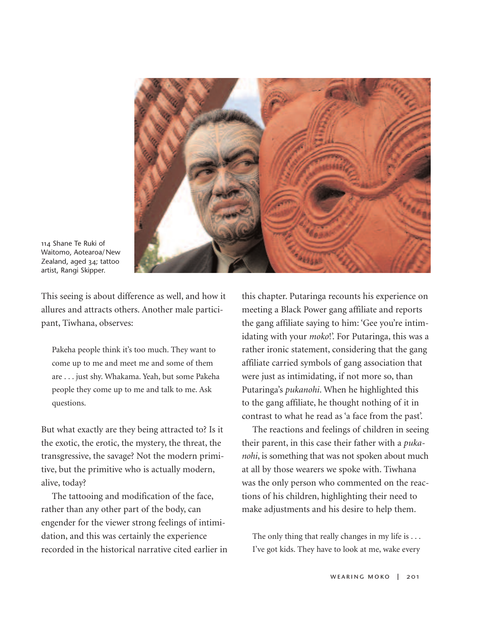

114 Shane Te Ruki of Waitomo, Aotearoa/New Zealand, aged 34; tattoo artist, Rangi Skipper.

This seeing is about difference as well, and how it allures and attracts others. Another male participant, Tiwhana, observes:

Pakeha people think it's too much. They want to come up to me and meet me and some of them are . . . just shy. Whakama. Yeah, but some Pakeha people they come up to me and talk to me. Ask questions.

But what exactly are they being attracted to? Is it the exotic, the erotic, the mystery, the threat, the transgressive, the savage? Not the modern primitive, but the primitive who is actually modern, alive, today?

The tattooing and modification of the face, rather than any other part of the body, can engender for the viewer strong feelings of intimidation, and this was certainly the experience recorded in the historical narrative cited earlier in

this chapter. Putaringa recounts his experience on meeting a Black Power gang affiliate and reports the gang affiliate saying to him: 'Gee you're intimidating with your *moko*!'. For Putaringa, this was a rather ironic statement, considering that the gang affiliate carried symbols of gang association that were just as intimidating, if not more so, than Putaringa's *pukanohi*. When he highlighted this to the gang affiliate, he thought nothing of it in contrast to what he read as 'a face from the past'.

The reactions and feelings of children in seeing their parent, in this case their father with a *pukanohi*, is something that was not spoken about much at all by those wearers we spoke with. Tiwhana was the only person who commented on the reactions of his children, highlighting their need to make adjustments and his desire to help them.

The only thing that really changes in my life is . . . I've got kids. They have to look at me, wake every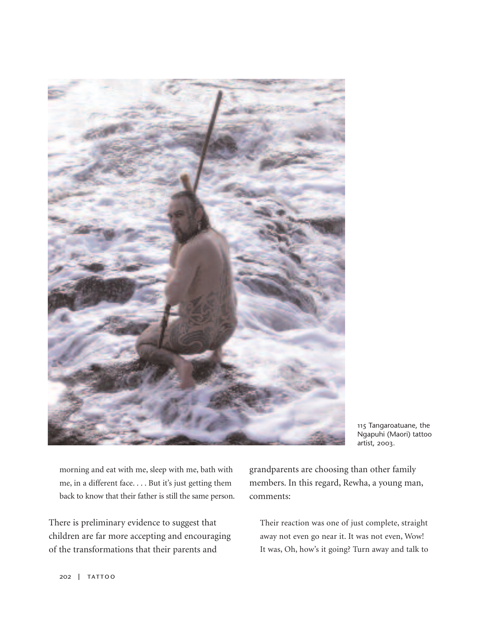

115 Tangaroatuane, the Ngapuhi (Maori) tattoo artist, 2003.

morning and eat with me, sleep with me, bath with me, in a different face. . . . But it's just getting them back to know that their father is still the same person.

There is preliminary evidence to suggest that children are far more accepting and encouraging of the transformations that their parents and

grandparents are choosing than other family members. In this regard, Rewha, a young man, comments:

Their reaction was one of just complete, straight away not even go near it. It was not even, Wow! It was, Oh, how's it going? Turn away and talk to